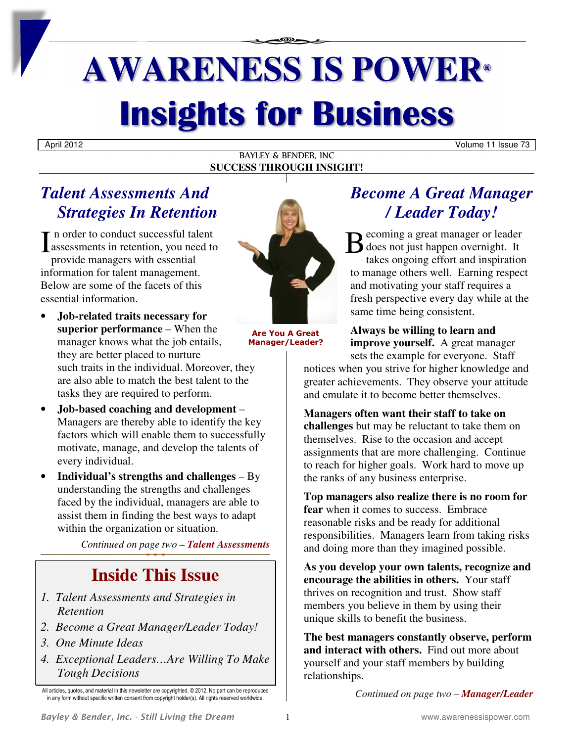# **AWARENESS IS POWER® Insights for Business**

April 2012 Volume 11 Issue 73

BAYLEY & BENDER, INC **SUCCESS THROUGH INSIGHT!**

## *Talent Assessments And Strategies In Retention*

I n order to conduct successful talent<br>
assessments in retention, you need to assessments in retention, you need to provide managers with essential information for talent management. Below are some of the facets of this essential information.

- **Job-related traits necessary for superior performance** – When the manager knows what the job entails, they are better placed to nurture such traits in the individual. Moreover, they are also able to match the best talent to the tasks they are required to perform.
- **Job-based coaching and development** Managers are thereby able to identify the key factors which will enable them to successfully motivate, manage, and develop the talents of every individual.
- **Individual's strengths and challenges** By understanding the strengths and challenges faced by the individual, managers are able to assist them in finding the best ways to adapt within the organization or situation.

*Continued on page two – Talent Assessments* 

## **Inside This Issue**

- *1. Talent Assessments and Strategies in Retention*
- *2. Become a Great Manager/Leader Today!*
- *3. One Minute Ideas*
- *4. Exceptional Leaders…Are Willing To Make Tough Decisions*



**Are You A Great Manager/Leader?** 

## *Become A Great Manager / Leader Today!*

ecoming a great manager or leader  $\bigcirc$  does not just happen overnight. It takes ongoing effort and inspiration to manage others well. Earning respect and motivating your staff requires a fresh perspective every day while at the same time being consistent.

**Always be willing to learn and improve yourself.** A great manager sets the example for everyone. Staff

notices when you strive for higher knowledge and greater achievements. They observe your attitude and emulate it to become better themselves.

### **Managers often want their staff to take on**

**challenges** but may be reluctant to take them on themselves. Rise to the occasion and accept assignments that are more challenging. Continue to reach for higher goals. Work hard to move up the ranks of any business enterprise.

**Top managers also realize there is no room for fear** when it comes to success. Embrace reasonable risks and be ready for additional responsibilities. Managers learn from taking risks and doing more than they imagined possible.

**As you develop your own talents, recognize and encourage the abilities in others.** Your staff thrives on recognition and trust. Show staff members you believe in them by using their unique skills to benefit the business.

**The best managers constantly observe, perform and interact with others.** Find out more about yourself and your staff members by building relationships.

*Continued on page two – Manager/Leader* 

All articles, quotes, and material in this newsletter are copyrighted. © 2012. No part can be reproduced in any form without specific written consent from copyright holder(s). All rights reserved worldwide.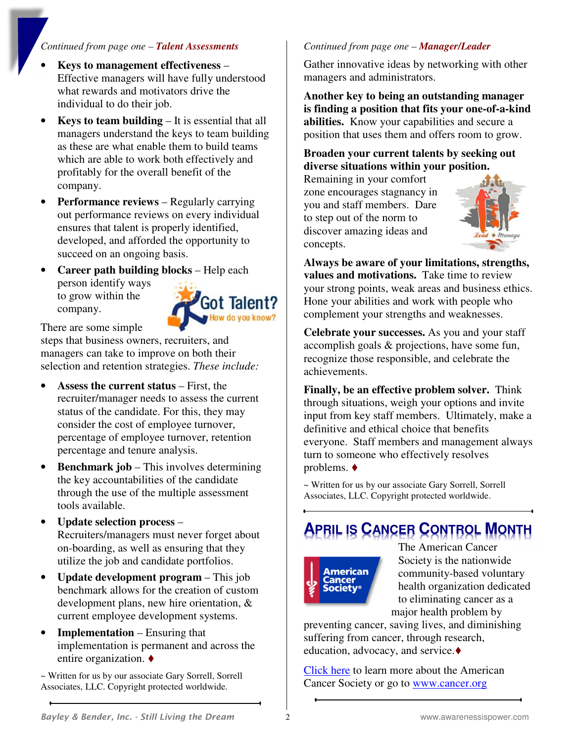### *Continued from page one – Talent Assessments*

- **Keys to management effectiveness**  Effective managers will have fully understood what rewards and motivators drive the individual to do their job.
- **Keys to team building** It is essential that all managers understand the keys to team building as these are what enable them to build teams which are able to work both effectively and profitably for the overall benefit of the company.
- **Performance reviews** Regularly carrying out performance reviews on every individual ensures that talent is properly identified, developed, and afforded the opportunity to succeed on an ongoing basis.
- **Career path building blocks** Help each person identify ways to grow within the Got Talent? company. w do you know?

There are some simple

steps that business owners, recruiters, and managers can take to improve on both their selection and retention strategies. *These include:* 

- **Assess the current status** First, the recruiter/manager needs to assess the current status of the candidate. For this, they may consider the cost of employee turnover, percentage of employee turnover, retention percentage and tenure analysis.
- **Benchmark job** This involves determining the key accountabilities of the candidate through the use of the multiple assessment tools available.
- **Update selection process** Recruiters/managers must never forget about on-boarding, as well as ensuring that they utilize the job and candidate portfolios.
- **Update development program** This job benchmark allows for the creation of custom development plans, new hire orientation, & current employee development systems.
- **Implementation** Ensuring that implementation is permanent and across the entire organization.

*~* Written for us by our associate Gary Sorrell, Sorrell Associates, LLC. Copyright protected worldwide.

## *Continued from page one – Manager/Leader*

Gather innovative ideas by networking with other managers and administrators.

**Another key to being an outstanding manager is finding a position that fits your one-of-a-kind abilities.** Know your capabilities and secure a position that uses them and offers room to grow.

#### **Broaden your current talents by seeking out diverse situations within your position.**

Remaining in your comfort zone encourages stagnancy in you and staff members. Dare to step out of the norm to discover amazing ideas and concepts.



**Always be aware of your limitations, strengths, values and motivations.** Take time to review your strong points, weak areas and business ethics. Hone your abilities and work with people who complement your strengths and weaknesses.

**Celebrate your successes.** As you and your staff accomplish goals & projections, have some fun, recognize those responsible, and celebrate the achievements.

**Finally, be an effective problem solver.** Think through situations, weigh your options and invite input from key staff members. Ultimately, make a definitive and ethical choice that benefits everyone. Staff members and management always turn to someone who effectively resolves problems.  $\blacklozenge$ 

*~* Written for us by our associate Gary Sorrell, Sorrell Associates, LLC. Copyright protected worldwide.

# **APRIL IS CANCER CONTROL MONTH**



The American Cancer Society is the nationwide community-based voluntary health organization dedicated to eliminating cancer as a major health problem by

preventing cancer, saving lives, and diminishing suffering from cancer, through research, education, advocacy, and service.

[Click here](http://www.cancer.org/) to learn more about the American Cancer Society or go to www.cancer.org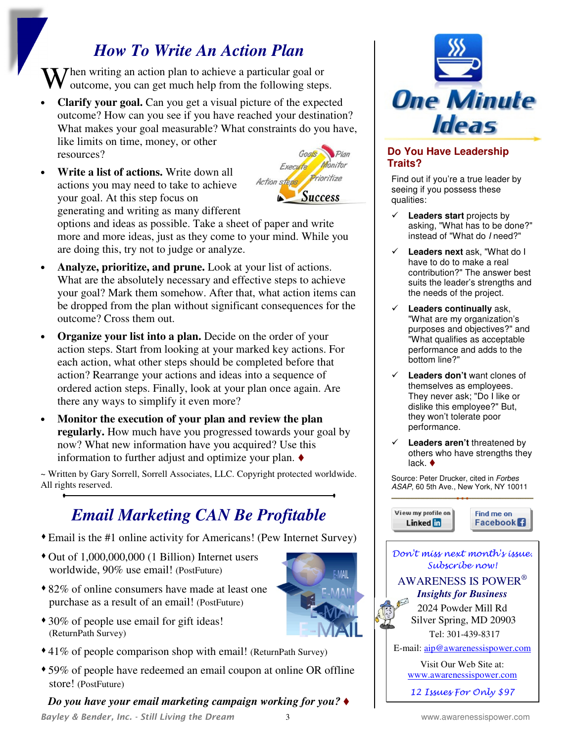## *How To Write An Action Plan*

When writing an action plan to achieve a particular goal or outcome, you can get much help from the following steps outcome, you can get much help from the following steps.

• **Clarify your goal.** Can you get a visual picture of the expected outcome? How can you see if you have reached your destination? What makes your goal measurable? What constraints do you have, like limits on time, money, or other

resources?

• **Write a list of actions.** Write down all actions you may need to take to achieve your goal. At this step focus on generating and writing as many different



options and ideas as possible. Take a sheet of paper and write more and more ideas, just as they come to your mind. While you are doing this, try not to judge or analyze.

- **Analyze, prioritize, and prune.** Look at your list of actions. What are the absolutely necessary and effective steps to achieve your goal? Mark them somehow. After that, what action items can be dropped from the plan without significant consequences for the outcome? Cross them out.
- **Organize your list into a plan.** Decide on the order of your action steps. Start from looking at your marked key actions. For each action, what other steps should be completed before that action? Rearrange your actions and ideas into a sequence of ordered action steps. Finally, look at your plan once again. Are there any ways to simplify it even more?
- **Monitor the execution of your plan and review the plan regularly.** How much have you progressed towards your goal by now? What new information have you acquired? Use this information to further adjust and optimize your plan.

~ Written by Gary Sorrell, Sorrell Associates, LLC. Copyright protected worldwide. All rights reserved.

## *Email Marketing CAN Be Profitable*

- Email is the #1 online activity for Americans! (Pew Internet Survey)
- Out of 1,000,000,000 (1 Billion) Internet users worldwide, 90% use email! (PostFuture)
- 82% of online consumers have made at least one purchase as a result of an email! (PostFuture)
- 30% of people use email for gift ideas! (ReturnPath Survey)
- 41% of people comparison shop with email! (ReturnPath Survey)
- 59% of people have redeemed an email coupon at online OR offline store! (PostFuture)

*Do you have your email marketing campaign working for you?*





## **Do You Have Leadership Traits?**

Find out if you're a true leader by seeing if you possess these qualities:

- **Leaders start** projects by asking, "What has to be done?" instead of "What do I need?"
- **Leaders next** ask, "What do I have to do to make a real contribution?" The answer best suits the leader's strengths and the needs of the project.
- **Leaders continually** ask, "What are my organization's purposes and objectives?" and "What qualifies as acceptable performance and adds to the bottom line?"
- **Leaders don't** want clones of themselves as employees. They never ask; "Do I like or dislike this employee?" But, they won't tolerate poor performance.
- **Leaders aren't** threatened by others who have strengths they lack. ♦

Source: Peter Drucker, cited in Forbes ASAP, 60 5th Ave., New York, NY 10011







12 Issues For Only \$97

**MAIL**